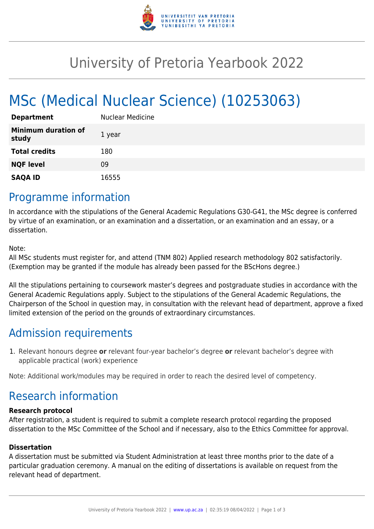

## University of Pretoria Yearbook 2022

# MSc (Medical Nuclear Science) (10253063)

| <b>Department</b>                   | <b>Nuclear Medicine</b> |
|-------------------------------------|-------------------------|
| <b>Minimum duration of</b><br>study | 1 year                  |
| <b>Total credits</b>                | 180                     |
| <b>NQF level</b>                    | 09                      |
| <b>SAQA ID</b>                      | 16555                   |

### Programme information

In accordance with the stipulations of the General Academic Regulations G30-G41, the MSc degree is conferred by virtue of an examination, or an examination and a dissertation, or an examination and an essay, or a dissertation.

Note:

All MSc students must register for, and attend (TNM 802) Applied research methodology 802 satisfactorily. (Exemption may be granted if the module has already been passed for the BScHons degree.)

All the stipulations pertaining to coursework master's degrees and postgraduate studies in accordance with the General Academic Regulations apply. Subject to the stipulations of the General Academic Regulations, the Chairperson of the School in question may, in consultation with the relevant head of department, approve a fixed limited extension of the period on the grounds of extraordinary circumstances.

## Admission requirements

1. Relevant honours degree **or** relevant four-year bachelor's degree **or** relevant bachelor's degree with applicable practical (work) experience

Note: Additional work/modules may be required in order to reach the desired level of competency.

## Research information

#### **Research protocol**

After registration, a student is required to submit a complete research protocol regarding the proposed dissertation to the MSc Committee of the School and if necessary, also to the Ethics Committee for approval.

#### **Dissertation**

A dissertation must be submitted via Student Administration at least three months prior to the date of a particular graduation ceremony. A manual on the editing of dissertations is available on request from the relevant head of department.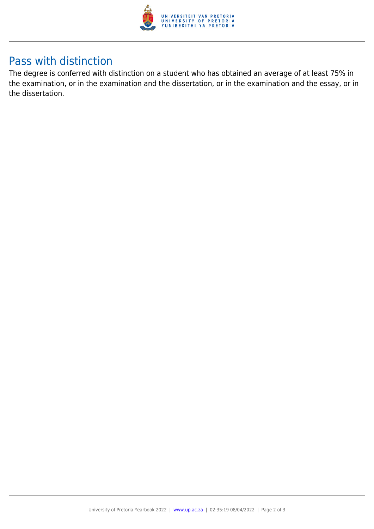

### Pass with distinction

The degree is conferred with distinction on a student who has obtained an average of at least 75% in the examination, or in the examination and the dissertation, or in the examination and the essay, or in the dissertation.